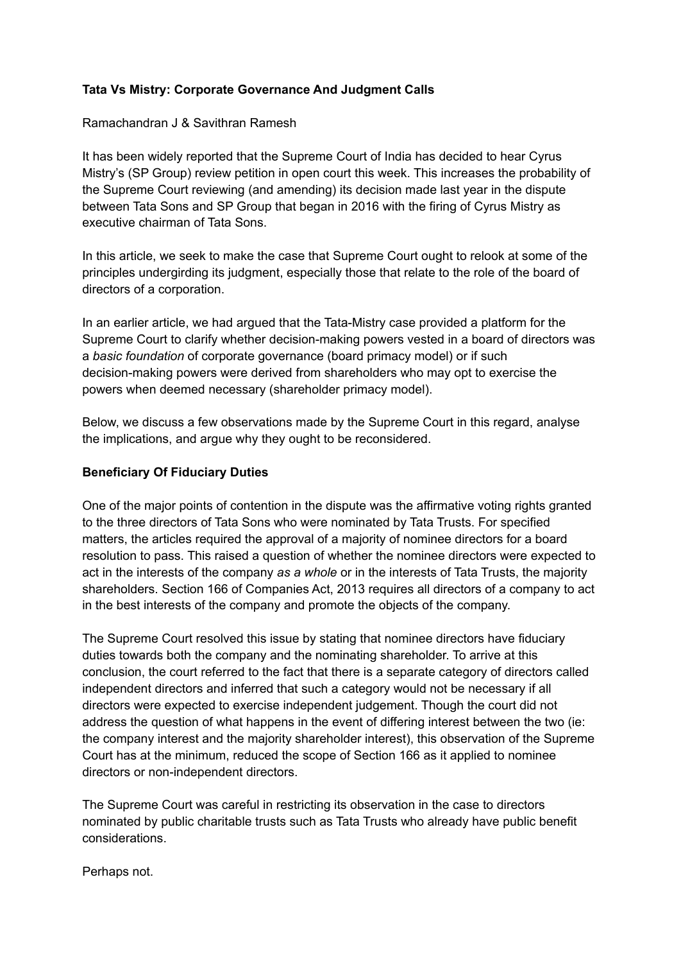## **Tata Vs Mistry: Corporate Governance And Judgment Calls**

### Ramachandran J & Savithran Ramesh

It has been widely reported that the Supreme Court of India has decided to hear Cyrus Mistry's (SP Group) review petition in open court this week. This increases the probability of the Supreme Court reviewing (and amending) its decision made last year in the dispute between Tata Sons and SP Group that began in 2016 with the firing of Cyrus Mistry as executive chairman of Tata Sons.

In this article, we seek to make the case that Supreme Court ought to relook at some of the principles undergirding its judgment, especially those that relate to the role of the board of directors of a corporation.

In an earlier article, we had argued that the Tata-Mistry case provided a platform for the Supreme Court to clarify whether decision-making powers vested in a board of directors was a *basic foundation* of corporate governance (board primacy model) or if such decision-making powers were derived from shareholders who may opt to exercise the powers when deemed necessary (shareholder primacy model).

Below, we discuss a few observations made by the Supreme Court in this regard, analyse the implications, and argue why they ought to be reconsidered.

### **Beneficiary Of Fiduciary Duties**

One of the major points of contention in the dispute was the affirmative voting rights granted to the three directors of Tata Sons who were nominated by Tata Trusts. For specified matters, the articles required the approval of a majority of nominee directors for a board resolution to pass. This raised a question of whether the nominee directors were expected to act in the interests of the company *as a whole* or in the interests of Tata Trusts, the majority shareholders. Section 166 of Companies Act, 2013 requires all directors of a company to act in the best interests of the company and promote the objects of the company.

The Supreme Court resolved this issue by stating that nominee directors have fiduciary duties towards both the company and the nominating shareholder. To arrive at this conclusion, the court referred to the fact that there is a separate category of directors called independent directors and inferred that such a category would not be necessary if all directors were expected to exercise independent judgement. Though the court did not address the question of what happens in the event of differing interest between the two (ie: the company interest and the majority shareholder interest), this observation of the Supreme Court has at the minimum, reduced the scope of Section 166 as it applied to nominee directors or non-independent directors.

The Supreme Court was careful in restricting its observation in the case to directors nominated by public charitable trusts such as Tata Trusts who already have public benefit considerations.

Perhaps not.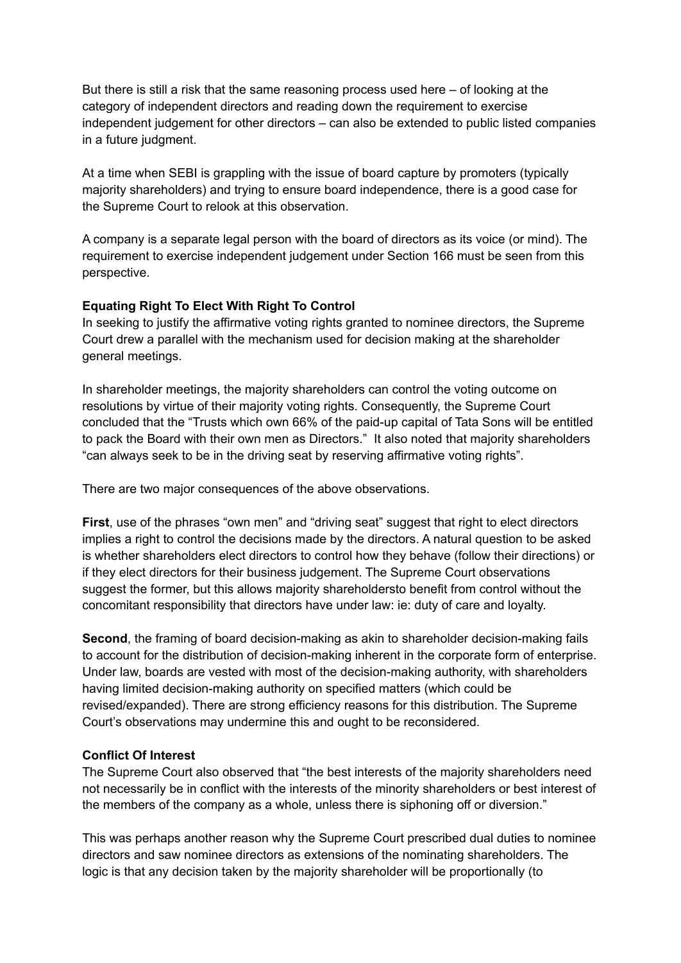But there is still a risk that the same reasoning process used here – of looking at the category of independent directors and reading down the requirement to exercise independent judgement for other directors – can also be extended to public listed companies in a future judgment.

At a time when SEBI is grappling with the issue of board capture by promoters (typically majority shareholders) and trying to ensure board independence, there is a good case for the Supreme Court to relook at this observation.

A company is a separate legal person with the board of directors as its voice (or mind). The requirement to exercise independent judgement under Section 166 must be seen from this perspective.

### **Equating Right To Elect With Right To Control**

In seeking to justify the affirmative voting rights granted to nominee directors, the Supreme Court drew a parallel with the mechanism used for decision making at the shareholder general meetings.

In shareholder meetings, the majority shareholders can control the voting outcome on resolutions by virtue of their majority voting rights. Consequently, the Supreme Court concluded that the "Trusts which own 66% of the paid-up capital of Tata Sons will be entitled to pack the Board with their own men as Directors." It also noted that majority shareholders "can always seek to be in the driving seat by reserving affirmative voting rights".

There are two major consequences of the above observations.

**First**, use of the phrases "own men" and "driving seat" suggest that right to elect directors implies a right to control the decisions made by the directors. A natural question to be asked is whether shareholders elect directors to control how they behave (follow their directions) or if they elect directors for their business judgement. The Supreme Court observations suggest the former, but this allows majority shareholdersto benefit from control without the concomitant responsibility that directors have under law: ie: duty of care and loyalty.

**Second**, the framing of board decision-making as akin to shareholder decision-making fails to account for the distribution of decision-making inherent in the corporate form of enterprise. Under law, boards are vested with most of the decision-making authority, with shareholders having limited decision-making authority on specified matters (which could be revised/expanded). There are strong efficiency reasons for this distribution. The Supreme Court's observations may undermine this and ought to be reconsidered.

### **Conflict Of Interest**

The Supreme Court also observed that "the best interests of the majority shareholders need not necessarily be in conflict with the interests of the minority shareholders or best interest of the members of the company as a whole, unless there is siphoning off or diversion."

This was perhaps another reason why the Supreme Court prescribed dual duties to nominee directors and saw nominee directors as extensions of the nominating shareholders. The logic is that any decision taken by the majority shareholder will be proportionally (to